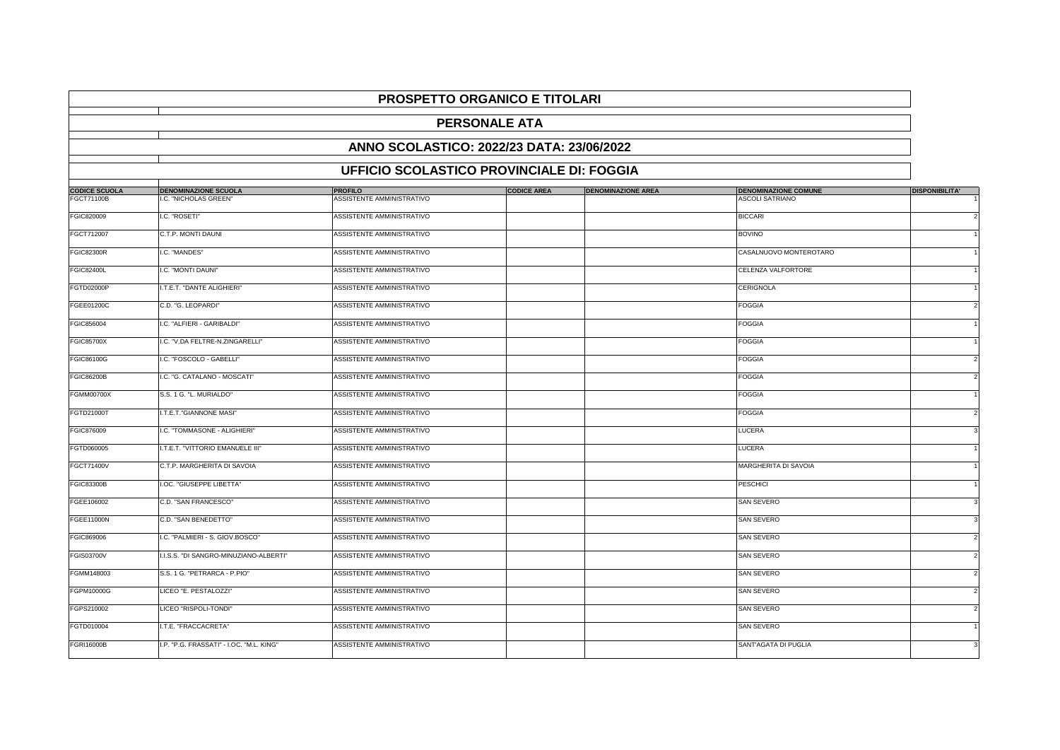|                      |                                                  | <b>PROSPETTO ORGANICO E TITOLARI</b> |                    |                           |                             |                          |  |  |
|----------------------|--------------------------------------------------|--------------------------------------|--------------------|---------------------------|-----------------------------|--------------------------|--|--|
|                      | <b>PERSONALE ATA</b>                             |                                      |                    |                           |                             |                          |  |  |
|                      | ANNO SCOLASTICO: 2022/23 DATA: 23/06/2022        |                                      |                    |                           |                             |                          |  |  |
|                      | <b>UFFICIO SCOLASTICO PROVINCIALE DI: FOGGIA</b> |                                      |                    |                           |                             |                          |  |  |
| <b>CODICE SCUOLA</b> | <b>DENOMINAZIONE SCUOLA</b>                      | <b>PROFILO</b>                       | <b>CODICE AREA</b> | <b>DENOMINAZIONE AREA</b> | <b>DENOMINAZIONE COMUNE</b> | <b>DISPONIBILITA'</b>    |  |  |
| FGCT71100B           | I.C. "NICHOLAS GREEN"                            | ASSISTENTE AMMINISTRATIVO            |                    |                           | <b>ASCOLI SATRIANO</b>      |                          |  |  |
| FGIC820009           | I.C. "ROSETI"                                    | ASSISTENTE AMMINISTRATIVO            |                    |                           | <b>BICCARI</b>              |                          |  |  |
| FGCT712007           | C.T.P. MONTI DAUNI                               | ASSISTENTE AMMINISTRATIVO            |                    |                           | <b>BOVINO</b>               |                          |  |  |
| <b>FGIC82300R</b>    | I.C. "MANDES"                                    | ASSISTENTE AMMINISTRATIVO            |                    |                           | CASALNUOVO MONTEROTARO      |                          |  |  |
| <b>FGIC82400L</b>    | I.C. "MONTI DAUNI"                               | ASSISTENTE AMMINISTRATIVO            |                    |                           | CELENZA VALFORTORE          |                          |  |  |
| <b>FGTD02000P</b>    | I.T.E.T. "DANTE ALIGHIERI"                       | ASSISTENTE AMMINISTRATIVO            |                    |                           | CERIGNOLA                   |                          |  |  |
| <b>FGEE01200C</b>    | C.D. "G. LEOPARDI"                               | ASSISTENTE AMMINISTRATIVO            |                    |                           | <b>FOGGIA</b>               |                          |  |  |
| FGIC856004           | I.C. "ALFIERI - GARIBALDI'                       | ASSISTENTE AMMINISTRATIVO            |                    |                           | <b>FOGGIA</b>               |                          |  |  |
| <b>FGIC85700X</b>    | I.C. "V.DA FELTRE-N.ZINGARELLI"                  | ASSISTENTE AMMINISTRATIVO            |                    |                           | <b>FOGGIA</b>               |                          |  |  |
| FGIC86100G           | I.C. "FOSCOLO - GABELLI"                         | ASSISTENTE AMMINISTRATIVO            |                    |                           | <b>FOGGIA</b>               |                          |  |  |
| <b>FGIC86200B</b>    | I.C. "G. CATALANO - MOSCATI"                     | ASSISTENTE AMMINISTRATIVO            |                    |                           | <b>FOGGIA</b>               |                          |  |  |
| <b>FGMM00700X</b>    | S.S. 1 G. "L. MURIALDO"                          | ASSISTENTE AMMINISTRATIVO            |                    |                           | <b>FOGGIA</b>               |                          |  |  |
| FGTD21000T           | I.T.E.T."GIANNONE MASI"                          | ASSISTENTE AMMINISTRATIVO            |                    |                           | <b>FOGGIA</b>               | $\mathcal{P}$            |  |  |
| FGIC876009           | I.C. "TOMMASONE - ALIGHIERI"                     | ASSISTENTE AMMINISTRATIVO            |                    |                           | LUCERA                      |                          |  |  |
| FGTD060005           | I.T.E.T. "VITTORIO EMANUELE III"                 | ASSISTENTE AMMINISTRATIVO            |                    |                           | LUCERA                      |                          |  |  |
| <b>FGCT71400V</b>    | C.T.P. MARGHERITA DI SAVOIA                      | ASSISTENTE AMMINISTRATIVO            |                    |                           | <b>MARGHERITA DI SAVOIA</b> |                          |  |  |
| <b>FGIC83300B</b>    | I.OC. "GIUSEPPE LIBETTA"                         | ASSISTENTE AMMINISTRATIVO            |                    |                           | <b>PESCHICI</b>             |                          |  |  |
| FGEE106002           | C.D. "SAN FRANCESCO"                             | <b>ASSISTENTE AMMINISTRATIVO</b>     |                    |                           | <b>SAN SEVERO</b>           |                          |  |  |
| <b>FGEE11000N</b>    | C.D. "SAN BENEDETTO"                             | ASSISTENTE AMMINISTRATIVO            |                    |                           | <b>SAN SEVERO</b>           | 3                        |  |  |
| FGIC869006           | I.C. "PALMIERI - S. GIOV.BOSCO"                  | ASSISTENTE AMMINISTRATIVO            |                    |                           | <b>SAN SEVERO</b>           | $\overline{\phantom{a}}$ |  |  |
| FGIS03700V           | I.I.S.S. "DI SANGRO-MINUZIANO-ALBERTI"           | ASSISTENTE AMMINISTRATIVO            |                    |                           | <b>SAN SEVERO</b>           |                          |  |  |
| FGMM148003           | S.S. 1 G. "PETRARCA - P.PIO"                     | ASSISTENTE AMMINISTRATIVO            |                    |                           | <b>SAN SEVERO</b>           |                          |  |  |
| FGPM10000G           | LICEO "E. PESTALOZZI"                            | ASSISTENTE AMMINISTRATIVO            |                    |                           | <b>SAN SEVERO</b>           |                          |  |  |
| FGPS210002           | LICEO "RISPOLI-TONDI"                            | ASSISTENTE AMMINISTRATIVO            |                    |                           | <b>SAN SEVERO</b>           |                          |  |  |
| FGTD010004           | .T.E. "FRACCACRETA"                              | ASSISTENTE AMMINISTRATIVO            |                    |                           | <b>SAN SEVERO</b>           |                          |  |  |
| <b>FGRI16000B</b>    | I.P. "P.G. FRASSATI" - I.OC. "M.L. KING"         | ASSISTENTE AMMINISTRATIVO            |                    |                           | SANT'AGATA DI PUGLIA        |                          |  |  |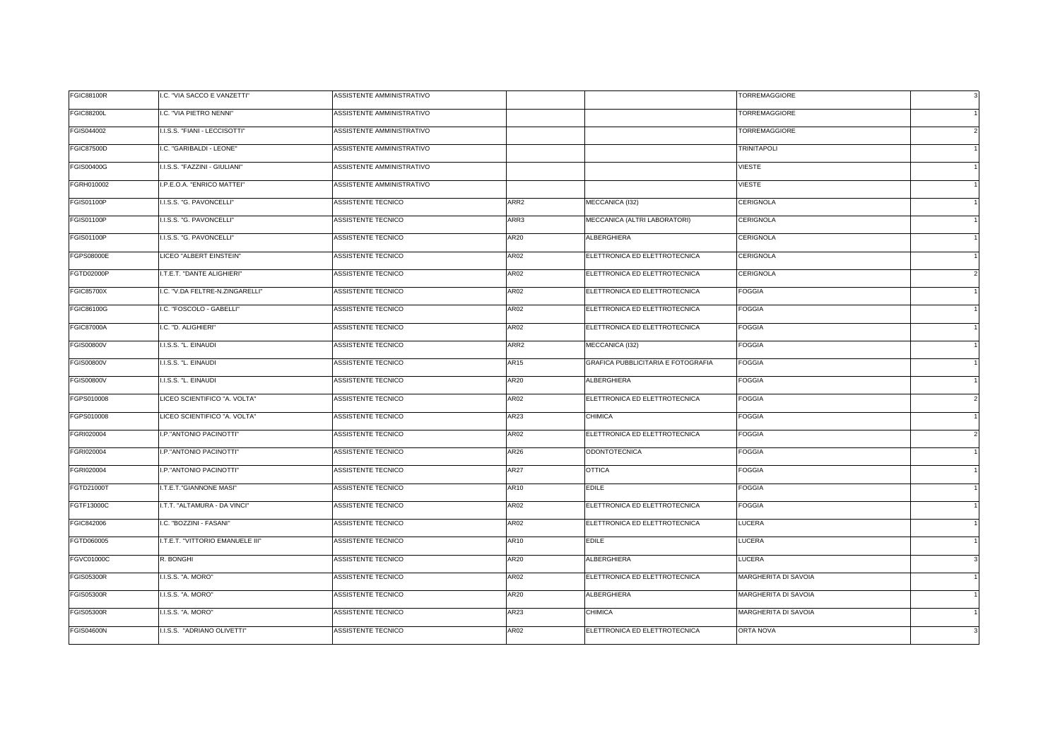| <b>FGIC88100R</b> | I.C. "VIA SACCO E VANZETTI"      | ASSISTENTE AMMINISTRATIVO |                  |                                    | <b>TORREMAGGIORE</b> | $\mathbf{3}$ |
|-------------------|----------------------------------|---------------------------|------------------|------------------------------------|----------------------|--------------|
| <b>FGIC88200L</b> | I.C. "VIA PIETRO NENNI"          | ASSISTENTE AMMINISTRATIVO |                  |                                    | TORREMAGGIORE        |              |
| FGIS044002        | I.I.S.S. "FIANI - LECCISOTTI"    | ASSISTENTE AMMINISTRATIVO |                  |                                    | <b>TORREMAGGIORE</b> |              |
| <b>FGIC87500D</b> | I.C. "GARIBALDI - LEONE"         | ASSISTENTE AMMINISTRATIVO |                  |                                    | <b>TRINITAPOLI</b>   |              |
| <b>FGIS00400G</b> | I.I.S.S. "FAZZINI - GIULIANI"    | ASSISTENTE AMMINISTRATIVO |                  |                                    | VIESTE               |              |
| FGRH010002        | I.P.E.O.A. "ENRICO MATTEI"       | ASSISTENTE AMMINISTRATIVO |                  |                                    | <b>VIESTE</b>        |              |
| FGIS01100P        | I.I.S.S. "G. PAVONCELLI"         | ASSISTENTE TECNICO        | ARR <sub>2</sub> | MECCANICA (I32)                    | CERIGNOLA            |              |
| FGIS01100P        | I.I.S.S. "G. PAVONCELLI"         | ASSISTENTE TECNICO        | ARR3             | MECCANICA (ALTRI LABORATORI)       | CERIGNOLA            |              |
| <b>FGIS01100P</b> | I.I.S.S. "G. PAVONCELLI"         | ASSISTENTE TECNICO        | AR20             | ALBERGHIERA                        | CERIGNOLA            |              |
| FGPS08000E        | LICEO "ALBERT EINSTEIN"          | <b>ASSISTENTE TECNICO</b> | AR02             | ELETTRONICA ED ELETTROTECNICA      | CERIGNOLA            |              |
| FGTD02000P        | I.T.E.T. "DANTE ALIGHIERI"       | ASSISTENTE TECNICO        | AR02             | ELETTRONICA ED ELETTROTECNICA      | CERIGNOLA            |              |
| <b>FGIC85700X</b> | I.C. "V.DA FELTRE-N.ZINGARELLI"  | ASSISTENTE TECNICO        | <b>AR02</b>      | ELETTRONICA ED ELETTROTECNICA      | FOGGIA               |              |
| FGIC86100G        | I.C. "FOSCOLO - GABELLI"         | ASSISTENTE TECNICO        | AR02             | ELETTRONICA ED ELETTROTECNICA      | <b>FOGGIA</b>        |              |
| <b>FGIC87000A</b> | I.C. "D. ALIGHIERI"              | ASSISTENTE TECNICO        | <b>AR02</b>      | ELETTRONICA ED ELETTROTECNICA      | FOGGIA               |              |
| <b>FGIS00800V</b> | I.I.S.S. "L. EINAUDI             | ASSISTENTE TECNICO        | ARR <sub>2</sub> | MECCANICA (I32)                    | FOGGIA               |              |
| <b>FGIS00800V</b> | I.I.S.S. "L. EINAUDI             | ASSISTENTE TECNICO        | AR15             | GRAFICA PUBBLICITARIA E FOTOGRAFIA | <b>FOGGIA</b>        |              |
| <b>FGIS00800V</b> | I.I.S.S. "L. EINAUDI             | ASSISTENTE TECNICO        | AR20             | ALBERGHIERA                        | FOGGIA               |              |
| FGPS010008        | LICEO SCIENTIFICO "A. VOLTA"     | ASSISTENTE TECNICO        | AR02             | ELETTRONICA ED ELETTROTECNICA      | <b>FOGGIA</b>        |              |
| FGPS010008        | LICEO SCIENTIFICO "A. VOLTA"     | ASSISTENTE TECNICO        | AR23             | CHIMICA                            | FOGGIA               |              |
| FGRI020004        | I.P."ANTONIO PACINOTTI"          | ASSISTENTE TECNICO        | <b>AR02</b>      | ELETTRONICA ED ELETTROTECNICA      | FOGGIA               |              |
| FGRI020004        | I.P."ANTONIO PACINOTTI"          | ASSISTENTE TECNICO        | AR26             | <b>ODONTOTECNICA</b>               | FOGGIA               |              |
| FGRI020004        | I.P."ANTONIO PACINOTTI"          | ASSISTENTE TECNICO        | AR27             | OTTICA                             | FOGGIA               |              |
| FGTD21000T        | I.T.E.T."GIANNONE MASI"          | ASSISTENTE TECNICO        | AR10             | <b>EDILE</b>                       | <b>FOGGIA</b>        |              |
| FGTF13000C        | I.T.T. "ALTAMURA - DA VINCI"     | ASSISTENTE TECNICO        | AR02             | ELETTRONICA ED ELETTROTECNICA      | <b>FOGGIA</b>        |              |
| FGIC842006        | I.C. "BOZZINI - FASANI"          | ASSISTENTE TECNICO        | AR02             | ELETTRONICA ED ELETTROTECNICA      | LUCERA               |              |
| FGTD060005        | I.T.E.T. "VITTORIO EMANUELE III" | ASSISTENTE TECNICO        | AR10             | <b>EDILE</b>                       | <b>LUCERA</b>        |              |
| FGVC01000C        | R. BONGHI                        | ASSISTENTE TECNICO        | AR20             | ALBERGHIERA                        | LUCERA               |              |
| <b>FGIS05300R</b> | I.I.S.S. "A. MORO"               | ASSISTENTE TECNICO        | AR02             | ELETTRONICA ED ELETTROTECNICA      | MARGHERITA DI SAVOIA |              |
| <b>FGIS05300R</b> | I.I.S.S. "A. MORO"               | ASSISTENTE TECNICO        | AR20             | <b>ALBERGHIERA</b>                 | MARGHERITA DI SAVOIA |              |
| <b>FGIS05300R</b> | I.I.S.S. "A. MORO"               | ASSISTENTE TECNICO        | <b>AR23</b>      | CHIMICA                            | MARGHERITA DI SAVOIA |              |
| <b>FGIS04600N</b> | I.I.S.S. "ADRIANO OLIVETTI"      | ASSISTENTE TECNICO        | AR02             | ELETTRONICA ED ELETTROTECNICA      | ORTA NOVA            |              |
|                   |                                  |                           |                  |                                    |                      |              |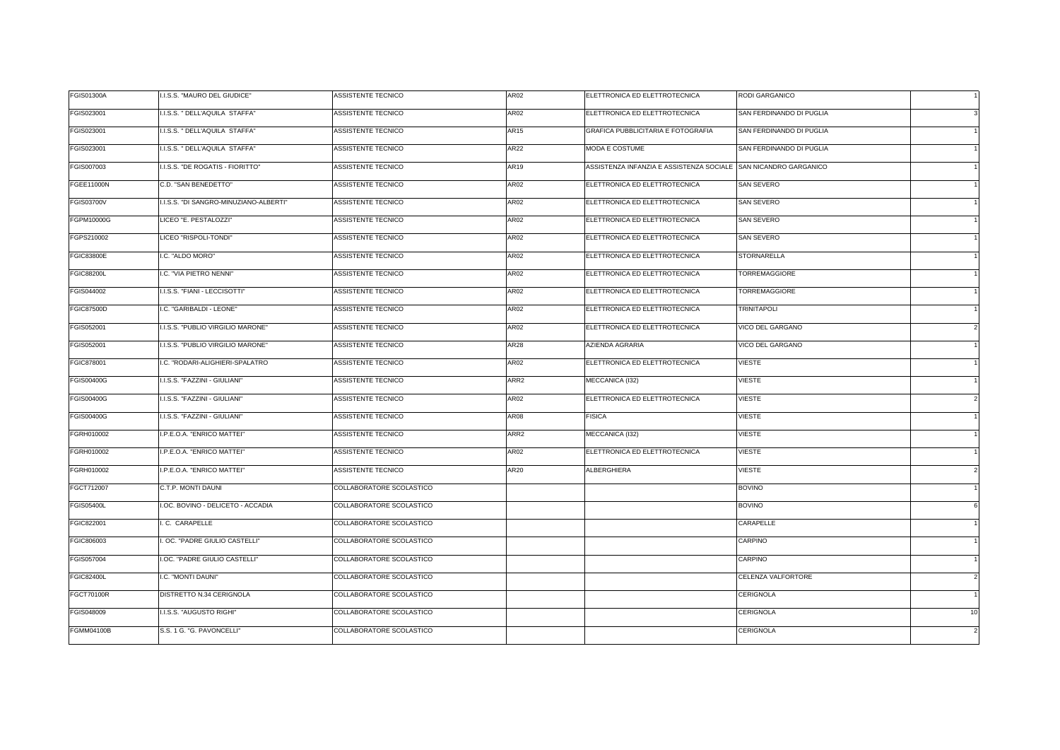| FGIS01300A        | I.I.S.S. "MAURO DEL GIUDICE"           | ASSISTENTE TECNICO        | <b>AR02</b>      | ELETTRONICA ED ELETTROTECNICA                                   | RODI GARGANICO           |                |
|-------------------|----------------------------------------|---------------------------|------------------|-----------------------------------------------------------------|--------------------------|----------------|
| FGIS023001        | I.I.S.S. " DELL'AQUILA STAFFA"         | ASSISTENTE TECNICO        | AR02             | ELETTRONICA ED ELETTROTECNICA                                   | SAN FERDINANDO DI PUGLIA |                |
| FGIS023001        | I.I.S.S. " DELL'AQUILA STAFFA"         | ASSISTENTE TECNICO        | <b>AR15</b>      | GRAFICA PUBBLICITARIA E FOTOGRAFIA                              | SAN FERDINANDO DI PUGLIA |                |
| FGIS023001        | I.I.S.S. " DELL'AQUILA STAFFA"         | ASSISTENTE TECNICO        | AR22             | MODA E COSTUME                                                  | SAN FERDINANDO DI PUGLIA |                |
| FGIS007003        | I.I.S.S. "DE ROGATIS - FIORITTO"       | ASSISTENTE TECNICO        | AR19             | ASSISTENZA INFANZIA E ASSISTENZA SOCIALE SAN NICANDRO GARGANICO |                          |                |
| <b>FGEE11000N</b> | C.D. "SAN BENEDETTO"                   | ASSISTENTE TECNICO        | <b>AR02</b>      | ELETTRONICA ED ELETTROTECNICA                                   | <b>SAN SEVERO</b>        |                |
| <b>FGIS03700V</b> | I.I.S.S. "DI SANGRO-MINUZIANO-ALBERTI" | ASSISTENTE TECNICO        | AR02             | ELETTRONICA ED ELETTROTECNICA                                   | SAN SEVERO               |                |
| FGPM10000G        | LICEO "E. PESTALOZZI"                  | ASSISTENTE TECNICO        | AR02             | ELETTRONICA ED ELETTROTECNICA                                   | SAN SEVERO               |                |
| FGPS210002        | LICEO "RISPOLI-TONDI"                  | ASSISTENTE TECNICO        | AR02             | ELETTRONICA ED ELETTROTECNICA                                   | SAN SEVERO               |                |
| <b>FGIC83800E</b> | I.C. "ALDO MORO"                       | ASSISTENTE TECNICO        | AR02             | ELETTRONICA ED ELETTROTECNICA                                   | STORNARELLA              |                |
| <b>FGIC88200L</b> | I.C. "VIA PIETRO NENNI"                | ASSISTENTE TECNICO        | <b>AR02</b>      | ELETTRONICA ED ELETTROTECNICA                                   | TORREMAGGIORE            |                |
| FGIS044002        | <b>I.I.S.S. "FIANI - LECCISOTTI"</b>   | <b>ASSISTENTE TECNICO</b> | AR02             | ELETTRONICA ED ELETTROTECNICA                                   | <b>TORREMAGGIORE</b>     |                |
| <b>FGIC87500D</b> | .C. "GARIBALDI - LEONE"                | ASSISTENTE TECNICO        | AR02             | ELETTRONICA ED ELETTROTECNICA                                   | <b>TRINITAPOLI</b>       |                |
| FGIS052001        | I.I.S.S. "PUBLIO VIRGILIO MARONE"      | ASSISTENTE TECNICO        | <b>AR02</b>      | ELETTRONICA ED ELETTROTECNICA                                   | VICO DEL GARGANO         |                |
| FGIS052001        | I.I.S.S. "PUBLIO VIRGILIO MARONE"      | ASSISTENTE TECNICO        | AR28             | AZIENDA AGRARIA                                                 | VICO DEL GARGANO         |                |
| FGIC878001        | I.C. "RODARI-ALIGHIERI-SPALATRO        | ASSISTENTE TECNICO        | <b>AR02</b>      | ELETTRONICA ED ELETTROTECNICA                                   | <b>VIESTE</b>            |                |
| FGIS00400G        | I.I.S.S. "FAZZINI - GIULIANI"          | <b>ASSISTENTE TECNICO</b> | ARR2             | MECCANICA (132)                                                 | <b>VIESTE</b>            |                |
| FGIS00400G        | I.I.S.S. "FAZZINI - GIULIANI'          | ASSISTENTE TECNICO        | AR02             | ELETTRONICA ED ELETTROTECNICA                                   | <b>VIESTE</b>            |                |
| <b>FGIS00400G</b> | I.I.S.S. "FAZZINI - GIULIANI"          | ASSISTENTE TECNICO        | <b>AR08</b>      | <b>FISICA</b>                                                   | <b>VIESTE</b>            |                |
| FGRH010002        | I.P.E.O.A. "ENRICO MATTEI"             | ASSISTENTE TECNICO        | ARR <sub>2</sub> | MECCANICA (132)                                                 | VIESTE                   |                |
| FGRH010002        | I.P.E.O.A. "ENRICO MATTEI"             | ASSISTENTE TECNICO        | <b>AR02</b>      | ELETTRONICA ED ELETTROTECNICA                                   | <b>VIESTE</b>            |                |
| FGRH010002        | I.P.E.O.A. "ENRICO MATTEI"             | <b>ASSISTENTE TECNICO</b> | AR20             | ALBERGHIERA                                                     | VIESTE                   |                |
| FGCT712007        | C.T.P. MONTI DAUNI                     | COLLABORATORE SCOLASTICO  |                  |                                                                 | <b>BOVINO</b>            |                |
| <b>FGIS05400L</b> | I.OC. BOVINO - DELICETO - ACCADIA      | COLLABORATORE SCOLASTICO  |                  |                                                                 | <b>BOVINO</b>            |                |
| FGIC822001        | .C. CARAPELLE                          | COLLABORATORE SCOLASTICO  |                  |                                                                 | CARAPELLE                |                |
| FGIC806003        | . OC. "PADRE GIULIO CASTELLI"          | COLLABORATORE SCOLASTICO  |                  |                                                                 | CARPINO                  |                |
| FGIS057004        | <b>.OC. "PADRE GIULIO CASTELLI"</b>    | COLLABORATORE SCOLASTICO  |                  |                                                                 | CARPINO                  |                |
| <b>FGIC82400L</b> | I.C. "MONTI DAUNI"                     | COLLABORATORE SCOLASTICO  |                  |                                                                 | CELENZA VALFORTORE       |                |
| <b>FGCT70100R</b> | DISTRETTO N.34 CERIGNOLA               | COLLABORATORE SCOLASTICO  |                  |                                                                 | CERIGNOLA                |                |
| FGIS048009        | I.I.S.S. "AUGUSTO RIGHI"               | COLLABORATORE SCOLASTICO  |                  |                                                                 | CERIGNOLA                | 10             |
| FGMM04100B        | S.S. 1 G. "G. PAVONCELLI"              | COLLABORATORE SCOLASTICO  |                  |                                                                 | CERIGNOLA                | $\overline{2}$ |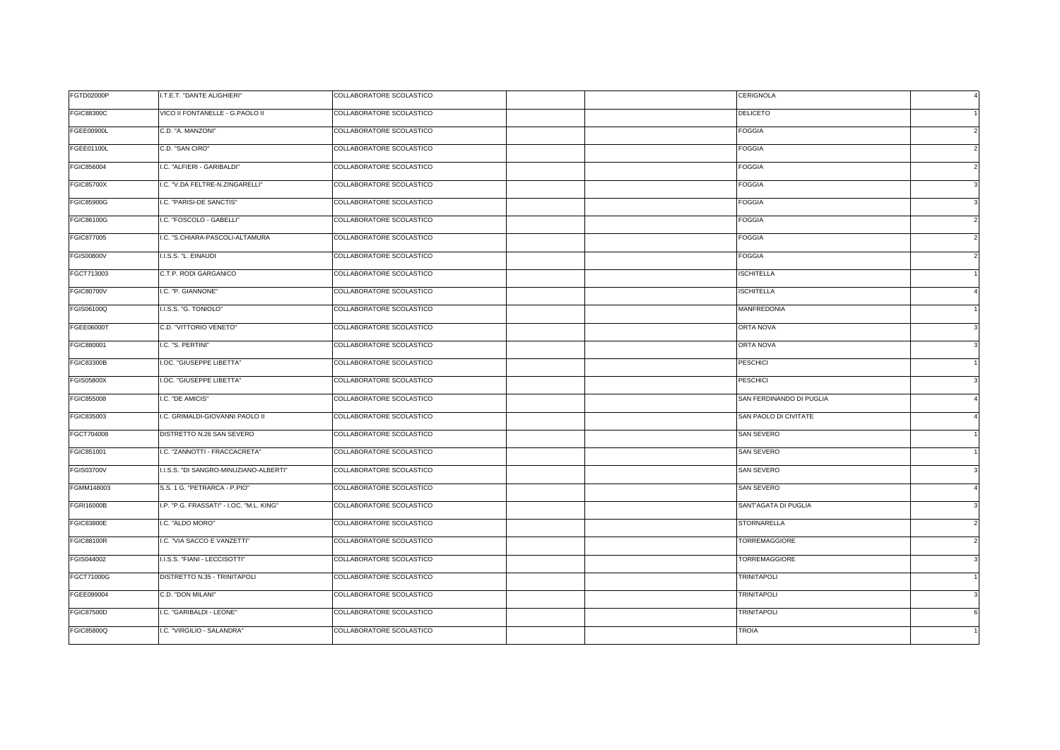| <b>FGTD02000P</b> | I.T.E.T. "DANTE ALIGHIERI"               | COLLABORATORE SCOLASTICO |  | CERIGNOLA                |                |
|-------------------|------------------------------------------|--------------------------|--|--------------------------|----------------|
| <b>FGIC88300C</b> | VICO II FONTANELLE - G.PAOLO II          | COLLABORATORE SCOLASTICO |  | DELICETO                 |                |
| <b>FGEE00900L</b> | C.D. "A. MANZONI"                        | COLLABORATORE SCOLASTICO |  | FOGGIA                   |                |
| <b>FGEE01100L</b> | C.D. "SAN CIRO"                          | COLLABORATORE SCOLASTICO |  | <b>FOGGIA</b>            |                |
| FGIC856004        | I.C. "ALFIERI - GARIBALDI"               | COLLABORATORE SCOLASTICO |  | FOGGIA                   |                |
| <b>FGIC85700X</b> | I.C. "V.DA FELTRE-N.ZINGARELLI"          | COLLABORATORE SCOLASTICO |  | <b>FOGGIA</b>            |                |
| <b>FGIC85900G</b> | I.C. "PARISI-DE SANCTIS"                 | COLLABORATORE SCOLASTICO |  | FOGGIA                   |                |
| FGIC86100G        | I.C. "FOSCOLO - GABELLI"                 | COLLABORATORE SCOLASTICO |  | FOGGIA                   |                |
| FGIC877005        | I.C. "S.CHIARA-PASCOLI-ALTAMURA          | COLLABORATORE SCOLASTICO |  | FOGGIA                   |                |
| <b>FGIS00800V</b> | I.I.S.S. "L. EINAUDI                     | COLLABORATORE SCOLASTICO |  | <b>FOGGIA</b>            |                |
| FGCT713003        | C.T.P. RODI GARGANICO                    | COLLABORATORE SCOLASTICO |  | <b>ISCHITELLA</b>        |                |
| <b>FGIC80700V</b> | I.C. "P. GIANNONE"                       | COLLABORATORE SCOLASTICO |  | <b>ISCHITELLA</b>        |                |
| FGIS06100Q        | I.I.S.S. "G. TONIOLO"                    | COLLABORATORE SCOLASTICO |  | <b>MANFREDONIA</b>       |                |
| FGEE06000T        | C.D. "VITTORIO VENETO"                   | COLLABORATORE SCOLASTICO |  | <b>ORTA NOVA</b>         |                |
| FGIC880001        | I.C. "S. PERTINI"                        | COLLABORATORE SCOLASTICO |  | <b>ORTA NOVA</b>         |                |
| <b>FGIC83300B</b> | I.OC. "GIUSEPPE LIBETTA"                 | COLLABORATORE SCOLASTICO |  | <b>PESCHICI</b>          |                |
| <b>FGIS05800X</b> | I.OC. "GIUSEPPE LIBETTA"                 | COLLABORATORE SCOLASTICO |  | <b>PESCHICI</b>          |                |
| FGIC855008        | I.C. "DE AMICIS"                         | COLLABORATORE SCOLASTICO |  | SAN FERDINANDO DI PUGLIA |                |
| FGIC835003        | I.C. GRIMALDI-GIOVANNI PAOLO II          | COLLABORATORE SCOLASTICO |  | SAN PAOLO DI CIVITATE    |                |
| FGCT704008        | DISTRETTO N.26 SAN SEVERO                | COLLABORATORE SCOLASTICO |  | SAN SEVERO               |                |
| FGIC851001        | I.C. "ZANNOTTI - FRACCACRETA"            | COLLABORATORE SCOLASTICO |  | SAN SEVERO               |                |
| FGIS03700V        | I.I.S.S. "DI SANGRO-MINUZIANO-ALBERTI"   | COLLABORATORE SCOLASTICO |  | SAN SEVERO               |                |
| FGMM148003        | S.S. 1 G. "PETRARCA - P.PIO"             | COLLABORATORE SCOLASTICO |  | SAN SEVERO               |                |
| FGRI16000B        | I.P. "P.G. FRASSATI" - I.OC. "M.L. KING" | COLLABORATORE SCOLASTICO |  | SANT'AGATA DI PUGLIA     |                |
| <b>FGIC83800E</b> | I.C. "ALDO MORO"                         | COLLABORATORE SCOLASTICO |  | <b>STORNARELLA</b>       |                |
| <b>FGIC88100R</b> | I.C. "VIA SACCO E VANZETTI"              | COLLABORATORE SCOLASTICO |  | <b>TORREMAGGIORE</b>     | $\overline{2}$ |
| FGIS044002        | I.I.S.S. "FIANI - LECCISOTTI"            | COLLABORATORE SCOLASTICO |  | TORREMAGGIORE            |                |
| FGCT71000G        | DISTRETTO N.35 - TRINITAPOLI             | COLLABORATORE SCOLASTICO |  | <b>TRINITAPOLI</b>       |                |
| FGEE099004        | C.D. "DON MILANI"                        | COLLABORATORE SCOLASTICO |  | <b>TRINITAPOLI</b>       |                |
| <b>FGIC87500D</b> | I.C. "GARIBALDI - LEONE"                 | COLLABORATORE SCOLASTICO |  | <b>TRINITAPOLI</b>       | 6              |
| <b>FGIC85800Q</b> | I.C. "VIRGILIO - SALANDRA"               | COLLABORATORE SCOLASTICO |  | <b>TROIA</b>             |                |
|                   |                                          |                          |  |                          |                |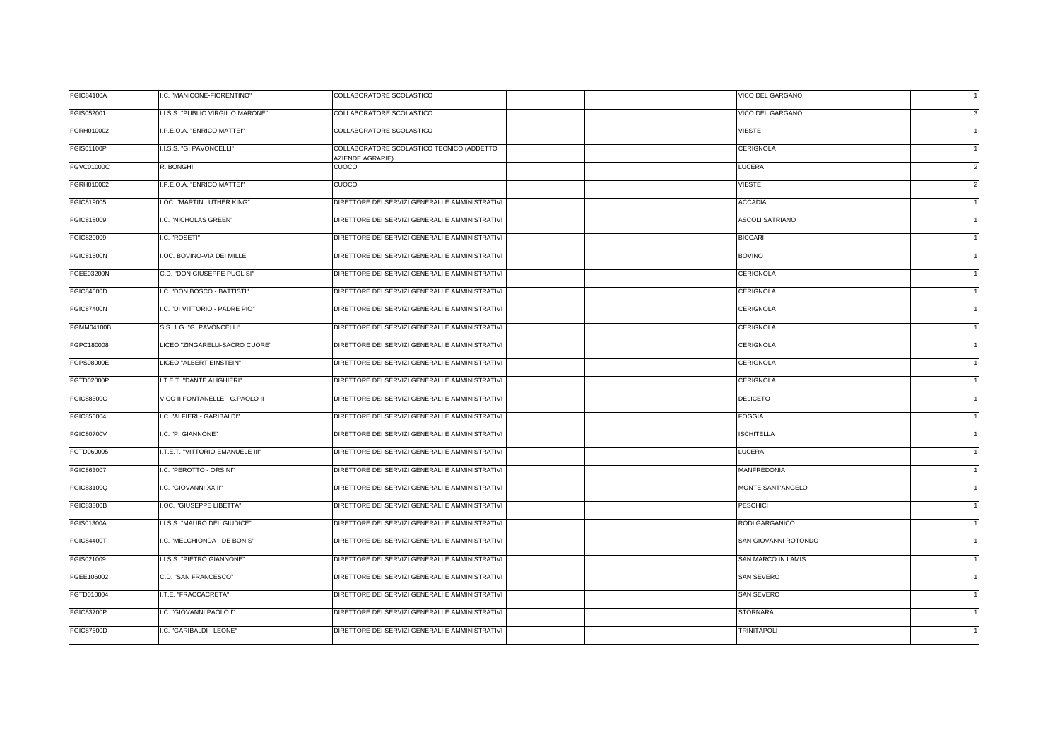| FGIS052001<br>I.I.S.S. "PUBLIO VIRGILIO MARONE"<br>COLLABORATORE SCOLASTICO<br><b>VICO DEL GARGANO</b><br>COLLABORATORE SCOLASTICO<br>FGRH010002<br>I.P.E.O.A. "ENRICO MATTEI"<br>VIESTE<br>COLLABORATORE SCOLASTICO TECNICO (ADDETTO<br>FGIS01100P<br>I.I.S.S. "G. PAVONCELLI"<br>CERIGNOLA<br>AZIENDE AGRARIE)<br><b>FGVC01000C</b><br>R. BONGHI<br>CUOCO<br>LUCERA<br>FGRH010002<br>VIESTE<br>I.P.E.O.A. "ENRICO MATTEI"<br><b>CUOCO</b><br>DIRETTORE DEI SERVIZI GENERALI E AMMINISTRATIVI<br>FGIC819005<br>I.OC. "MARTIN LUTHER KING"<br><b>ACCADIA</b><br>FGIC818009<br>I.C. "NICHOLAS GREEN"<br>DIRETTORE DEI SERVIZI GENERALI E AMMINISTRATIVI<br>ASCOLI SATRIANO<br>FGIC820009<br>DIRETTORE DEI SERVIZI GENERALI E AMMINISTRATIVI<br>I.C. "ROSETI"<br><b>BICCARI</b><br><b>FGIC81600N</b><br>I.OC. BOVINO-VIA DEI MILLE<br>DIRETTORE DEI SERVIZI GENERALI E AMMINISTRATIVI<br><b>BOVINO</b><br>FGEE03200N<br>C.D. "DON GIUSEPPE PUGLISI"<br>DIRETTORE DEI SERVIZI GENERALI E AMMINISTRATIVI<br>CERIGNOLA<br>DIRETTORE DEI SERVIZI GENERALI E AMMINISTRATIVI<br><b>FGIC84600D</b><br>I.C. "DON BOSCO - BATTISTI"<br>CERIGNOLA<br><b>FGIC87400N</b><br>I.C. "DI VITTORIO - PADRE PIO"<br>DIRETTORE DEI SERVIZI GENERALI E AMMINISTRATIVI<br>CERIGNOLA<br><b>FGMM04100B</b><br>S.S. 1 G. "G. PAVONCELLI"<br>DIRETTORE DEI SERVIZI GENERALI E AMMINISTRATIVI<br>CERIGNOLA<br>FGPC180008<br>LICEO "ZINGARELLI-SACRO CUORE"<br>DIRETTORE DEI SERVIZI GENERALI E AMMINISTRATIVI<br>CERIGNOLA<br><b>FGPS08000E</b><br>DIRETTORE DEI SERVIZI GENERALI E AMMINISTRATIVI<br>LICEO "ALBERT EINSTEIN"<br>CERIGNOLA<br>FGTD02000P<br>I.T.E.T. "DANTE ALIGHIERI"<br>DIRETTORE DEI SERVIZI GENERALI E AMMINISTRATIVI<br>CERIGNOLA<br><b>FGIC88300C</b><br>VICO II FONTANELLE - G.PAOLO II<br>DIRETTORE DEI SERVIZI GENERALI E AMMINISTRATIVI<br>DELICETO<br>FGIC856004<br>I.C. "ALFIERI - GARIBALDI"<br>DIRETTORE DEI SERVIZI GENERALI E AMMINISTRATIVI<br>FOGGIA<br><b>FGIC80700V</b><br>I.C. "P. GIANNONE"<br>DIRETTORE DEI SERVIZI GENERALI E AMMINISTRATIVI<br><b>ISCHITELLA</b><br>FGTD060005<br>I.T.E.T. "VITTORIO EMANUELE III"<br>DIRETTORE DEI SERVIZI GENERALI E AMMINISTRATIVI<br><b>LUCERA</b><br>FGIC863007<br>I.C. "PEROTTO - ORSINI"<br>DIRETTORE DEI SERVIZI GENERALI E AMMINISTRATIVI<br><b>MANFREDONIA</b><br>FGIC83100Q<br>DIRETTORE DEI SERVIZI GENERALI E AMMINISTRATIVI<br>MONTE SANT'ANGELO<br>I.C. "GIOVANNI XXIII"<br>DIRETTORE DEI SERVIZI GENERALI E AMMINISTRATIVI<br><b>FGIC83300B</b><br>I.OC. "GIUSEPPE LIBETTA"<br>PESCHICI<br><b>FGIS01300A</b><br>I.I.S.S. "MAURO DEL GIUDICE"<br>DIRETTORE DEI SERVIZI GENERALI E AMMINISTRATIVI<br>RODI GARGANICO<br><b>FGIC84400T</b><br>I.C. "MELCHIONDA - DE BONIS"<br>DIRETTORE DEI SERVIZI GENERALI E AMMINISTRATIVI<br>SAN GIOVANNI ROTONDO<br>DIRETTORE DEI SERVIZI GENERALI E AMMINISTRATIVI<br>FGIS021009<br>I.I.S.S. "PIETRO GIANNONE"<br>SAN MARCO IN LAMIS<br>FGEE106002<br>DIRETTORE DEI SERVIZI GENERALI E AMMINISTRATIVI<br><b>SAN SEVERO</b><br>C.D. "SAN FRANCESCO"<br>I.T.E. "FRACCACRETA"<br>DIRETTORE DEI SERVIZI GENERALI E AMMINISTRATIVI<br>FGTD010004<br>SAN SEVERO<br><b>FGIC83700P</b><br>DIRETTORE DEI SERVIZI GENERALI E AMMINISTRATIVI<br><b>STORNARA</b><br>I.C. "GIOVANNI PAOLO I"<br><b>FGIC87500D</b><br>I.C. "GARIBALDI - LEONE"<br>DIRETTORE DEI SERVIZI GENERALI E AMMINISTRATIVI<br><b>TRINITAPOLI</b> | FGIC84100A | I.C. "MANICONE-FIORENTINO" | COLLABORATORE SCOLASTICO | VICO DEL GARGANO |  |
|----------------------------------------------------------------------------------------------------------------------------------------------------------------------------------------------------------------------------------------------------------------------------------------------------------------------------------------------------------------------------------------------------------------------------------------------------------------------------------------------------------------------------------------------------------------------------------------------------------------------------------------------------------------------------------------------------------------------------------------------------------------------------------------------------------------------------------------------------------------------------------------------------------------------------------------------------------------------------------------------------------------------------------------------------------------------------------------------------------------------------------------------------------------------------------------------------------------------------------------------------------------------------------------------------------------------------------------------------------------------------------------------------------------------------------------------------------------------------------------------------------------------------------------------------------------------------------------------------------------------------------------------------------------------------------------------------------------------------------------------------------------------------------------------------------------------------------------------------------------------------------------------------------------------------------------------------------------------------------------------------------------------------------------------------------------------------------------------------------------------------------------------------------------------------------------------------------------------------------------------------------------------------------------------------------------------------------------------------------------------------------------------------------------------------------------------------------------------------------------------------------------------------------------------------------------------------------------------------------------------------------------------------------------------------------------------------------------------------------------------------------------------------------------------------------------------------------------------------------------------------------------------------------------------------------------------------------------------------------------------------------------------------------------------------------------------------------------------------------------------------------------------------------------------------------------------------------------------------------------------------------------------------------------------------------------------------------------------------------------------------------------------------------|------------|----------------------------|--------------------------|------------------|--|
|                                                                                                                                                                                                                                                                                                                                                                                                                                                                                                                                                                                                                                                                                                                                                                                                                                                                                                                                                                                                                                                                                                                                                                                                                                                                                                                                                                                                                                                                                                                                                                                                                                                                                                                                                                                                                                                                                                                                                                                                                                                                                                                                                                                                                                                                                                                                                                                                                                                                                                                                                                                                                                                                                                                                                                                                                                                                                                                                                                                                                                                                                                                                                                                                                                                                                                                                                                                                          |            |                            |                          |                  |  |
|                                                                                                                                                                                                                                                                                                                                                                                                                                                                                                                                                                                                                                                                                                                                                                                                                                                                                                                                                                                                                                                                                                                                                                                                                                                                                                                                                                                                                                                                                                                                                                                                                                                                                                                                                                                                                                                                                                                                                                                                                                                                                                                                                                                                                                                                                                                                                                                                                                                                                                                                                                                                                                                                                                                                                                                                                                                                                                                                                                                                                                                                                                                                                                                                                                                                                                                                                                                                          |            |                            |                          |                  |  |
|                                                                                                                                                                                                                                                                                                                                                                                                                                                                                                                                                                                                                                                                                                                                                                                                                                                                                                                                                                                                                                                                                                                                                                                                                                                                                                                                                                                                                                                                                                                                                                                                                                                                                                                                                                                                                                                                                                                                                                                                                                                                                                                                                                                                                                                                                                                                                                                                                                                                                                                                                                                                                                                                                                                                                                                                                                                                                                                                                                                                                                                                                                                                                                                                                                                                                                                                                                                                          |            |                            |                          |                  |  |
|                                                                                                                                                                                                                                                                                                                                                                                                                                                                                                                                                                                                                                                                                                                                                                                                                                                                                                                                                                                                                                                                                                                                                                                                                                                                                                                                                                                                                                                                                                                                                                                                                                                                                                                                                                                                                                                                                                                                                                                                                                                                                                                                                                                                                                                                                                                                                                                                                                                                                                                                                                                                                                                                                                                                                                                                                                                                                                                                                                                                                                                                                                                                                                                                                                                                                                                                                                                                          |            |                            |                          |                  |  |
|                                                                                                                                                                                                                                                                                                                                                                                                                                                                                                                                                                                                                                                                                                                                                                                                                                                                                                                                                                                                                                                                                                                                                                                                                                                                                                                                                                                                                                                                                                                                                                                                                                                                                                                                                                                                                                                                                                                                                                                                                                                                                                                                                                                                                                                                                                                                                                                                                                                                                                                                                                                                                                                                                                                                                                                                                                                                                                                                                                                                                                                                                                                                                                                                                                                                                                                                                                                                          |            |                            |                          |                  |  |
|                                                                                                                                                                                                                                                                                                                                                                                                                                                                                                                                                                                                                                                                                                                                                                                                                                                                                                                                                                                                                                                                                                                                                                                                                                                                                                                                                                                                                                                                                                                                                                                                                                                                                                                                                                                                                                                                                                                                                                                                                                                                                                                                                                                                                                                                                                                                                                                                                                                                                                                                                                                                                                                                                                                                                                                                                                                                                                                                                                                                                                                                                                                                                                                                                                                                                                                                                                                                          |            |                            |                          |                  |  |
|                                                                                                                                                                                                                                                                                                                                                                                                                                                                                                                                                                                                                                                                                                                                                                                                                                                                                                                                                                                                                                                                                                                                                                                                                                                                                                                                                                                                                                                                                                                                                                                                                                                                                                                                                                                                                                                                                                                                                                                                                                                                                                                                                                                                                                                                                                                                                                                                                                                                                                                                                                                                                                                                                                                                                                                                                                                                                                                                                                                                                                                                                                                                                                                                                                                                                                                                                                                                          |            |                            |                          |                  |  |
|                                                                                                                                                                                                                                                                                                                                                                                                                                                                                                                                                                                                                                                                                                                                                                                                                                                                                                                                                                                                                                                                                                                                                                                                                                                                                                                                                                                                                                                                                                                                                                                                                                                                                                                                                                                                                                                                                                                                                                                                                                                                                                                                                                                                                                                                                                                                                                                                                                                                                                                                                                                                                                                                                                                                                                                                                                                                                                                                                                                                                                                                                                                                                                                                                                                                                                                                                                                                          |            |                            |                          |                  |  |
|                                                                                                                                                                                                                                                                                                                                                                                                                                                                                                                                                                                                                                                                                                                                                                                                                                                                                                                                                                                                                                                                                                                                                                                                                                                                                                                                                                                                                                                                                                                                                                                                                                                                                                                                                                                                                                                                                                                                                                                                                                                                                                                                                                                                                                                                                                                                                                                                                                                                                                                                                                                                                                                                                                                                                                                                                                                                                                                                                                                                                                                                                                                                                                                                                                                                                                                                                                                                          |            |                            |                          |                  |  |
|                                                                                                                                                                                                                                                                                                                                                                                                                                                                                                                                                                                                                                                                                                                                                                                                                                                                                                                                                                                                                                                                                                                                                                                                                                                                                                                                                                                                                                                                                                                                                                                                                                                                                                                                                                                                                                                                                                                                                                                                                                                                                                                                                                                                                                                                                                                                                                                                                                                                                                                                                                                                                                                                                                                                                                                                                                                                                                                                                                                                                                                                                                                                                                                                                                                                                                                                                                                                          |            |                            |                          |                  |  |
|                                                                                                                                                                                                                                                                                                                                                                                                                                                                                                                                                                                                                                                                                                                                                                                                                                                                                                                                                                                                                                                                                                                                                                                                                                                                                                                                                                                                                                                                                                                                                                                                                                                                                                                                                                                                                                                                                                                                                                                                                                                                                                                                                                                                                                                                                                                                                                                                                                                                                                                                                                                                                                                                                                                                                                                                                                                                                                                                                                                                                                                                                                                                                                                                                                                                                                                                                                                                          |            |                            |                          |                  |  |
|                                                                                                                                                                                                                                                                                                                                                                                                                                                                                                                                                                                                                                                                                                                                                                                                                                                                                                                                                                                                                                                                                                                                                                                                                                                                                                                                                                                                                                                                                                                                                                                                                                                                                                                                                                                                                                                                                                                                                                                                                                                                                                                                                                                                                                                                                                                                                                                                                                                                                                                                                                                                                                                                                                                                                                                                                                                                                                                                                                                                                                                                                                                                                                                                                                                                                                                                                                                                          |            |                            |                          |                  |  |
|                                                                                                                                                                                                                                                                                                                                                                                                                                                                                                                                                                                                                                                                                                                                                                                                                                                                                                                                                                                                                                                                                                                                                                                                                                                                                                                                                                                                                                                                                                                                                                                                                                                                                                                                                                                                                                                                                                                                                                                                                                                                                                                                                                                                                                                                                                                                                                                                                                                                                                                                                                                                                                                                                                                                                                                                                                                                                                                                                                                                                                                                                                                                                                                                                                                                                                                                                                                                          |            |                            |                          |                  |  |
|                                                                                                                                                                                                                                                                                                                                                                                                                                                                                                                                                                                                                                                                                                                                                                                                                                                                                                                                                                                                                                                                                                                                                                                                                                                                                                                                                                                                                                                                                                                                                                                                                                                                                                                                                                                                                                                                                                                                                                                                                                                                                                                                                                                                                                                                                                                                                                                                                                                                                                                                                                                                                                                                                                                                                                                                                                                                                                                                                                                                                                                                                                                                                                                                                                                                                                                                                                                                          |            |                            |                          |                  |  |
|                                                                                                                                                                                                                                                                                                                                                                                                                                                                                                                                                                                                                                                                                                                                                                                                                                                                                                                                                                                                                                                                                                                                                                                                                                                                                                                                                                                                                                                                                                                                                                                                                                                                                                                                                                                                                                                                                                                                                                                                                                                                                                                                                                                                                                                                                                                                                                                                                                                                                                                                                                                                                                                                                                                                                                                                                                                                                                                                                                                                                                                                                                                                                                                                                                                                                                                                                                                                          |            |                            |                          |                  |  |
|                                                                                                                                                                                                                                                                                                                                                                                                                                                                                                                                                                                                                                                                                                                                                                                                                                                                                                                                                                                                                                                                                                                                                                                                                                                                                                                                                                                                                                                                                                                                                                                                                                                                                                                                                                                                                                                                                                                                                                                                                                                                                                                                                                                                                                                                                                                                                                                                                                                                                                                                                                                                                                                                                                                                                                                                                                                                                                                                                                                                                                                                                                                                                                                                                                                                                                                                                                                                          |            |                            |                          |                  |  |
|                                                                                                                                                                                                                                                                                                                                                                                                                                                                                                                                                                                                                                                                                                                                                                                                                                                                                                                                                                                                                                                                                                                                                                                                                                                                                                                                                                                                                                                                                                                                                                                                                                                                                                                                                                                                                                                                                                                                                                                                                                                                                                                                                                                                                                                                                                                                                                                                                                                                                                                                                                                                                                                                                                                                                                                                                                                                                                                                                                                                                                                                                                                                                                                                                                                                                                                                                                                                          |            |                            |                          |                  |  |
|                                                                                                                                                                                                                                                                                                                                                                                                                                                                                                                                                                                                                                                                                                                                                                                                                                                                                                                                                                                                                                                                                                                                                                                                                                                                                                                                                                                                                                                                                                                                                                                                                                                                                                                                                                                                                                                                                                                                                                                                                                                                                                                                                                                                                                                                                                                                                                                                                                                                                                                                                                                                                                                                                                                                                                                                                                                                                                                                                                                                                                                                                                                                                                                                                                                                                                                                                                                                          |            |                            |                          |                  |  |
|                                                                                                                                                                                                                                                                                                                                                                                                                                                                                                                                                                                                                                                                                                                                                                                                                                                                                                                                                                                                                                                                                                                                                                                                                                                                                                                                                                                                                                                                                                                                                                                                                                                                                                                                                                                                                                                                                                                                                                                                                                                                                                                                                                                                                                                                                                                                                                                                                                                                                                                                                                                                                                                                                                                                                                                                                                                                                                                                                                                                                                                                                                                                                                                                                                                                                                                                                                                                          |            |                            |                          |                  |  |
|                                                                                                                                                                                                                                                                                                                                                                                                                                                                                                                                                                                                                                                                                                                                                                                                                                                                                                                                                                                                                                                                                                                                                                                                                                                                                                                                                                                                                                                                                                                                                                                                                                                                                                                                                                                                                                                                                                                                                                                                                                                                                                                                                                                                                                                                                                                                                                                                                                                                                                                                                                                                                                                                                                                                                                                                                                                                                                                                                                                                                                                                                                                                                                                                                                                                                                                                                                                                          |            |                            |                          |                  |  |
|                                                                                                                                                                                                                                                                                                                                                                                                                                                                                                                                                                                                                                                                                                                                                                                                                                                                                                                                                                                                                                                                                                                                                                                                                                                                                                                                                                                                                                                                                                                                                                                                                                                                                                                                                                                                                                                                                                                                                                                                                                                                                                                                                                                                                                                                                                                                                                                                                                                                                                                                                                                                                                                                                                                                                                                                                                                                                                                                                                                                                                                                                                                                                                                                                                                                                                                                                                                                          |            |                            |                          |                  |  |
|                                                                                                                                                                                                                                                                                                                                                                                                                                                                                                                                                                                                                                                                                                                                                                                                                                                                                                                                                                                                                                                                                                                                                                                                                                                                                                                                                                                                                                                                                                                                                                                                                                                                                                                                                                                                                                                                                                                                                                                                                                                                                                                                                                                                                                                                                                                                                                                                                                                                                                                                                                                                                                                                                                                                                                                                                                                                                                                                                                                                                                                                                                                                                                                                                                                                                                                                                                                                          |            |                            |                          |                  |  |
|                                                                                                                                                                                                                                                                                                                                                                                                                                                                                                                                                                                                                                                                                                                                                                                                                                                                                                                                                                                                                                                                                                                                                                                                                                                                                                                                                                                                                                                                                                                                                                                                                                                                                                                                                                                                                                                                                                                                                                                                                                                                                                                                                                                                                                                                                                                                                                                                                                                                                                                                                                                                                                                                                                                                                                                                                                                                                                                                                                                                                                                                                                                                                                                                                                                                                                                                                                                                          |            |                            |                          |                  |  |
|                                                                                                                                                                                                                                                                                                                                                                                                                                                                                                                                                                                                                                                                                                                                                                                                                                                                                                                                                                                                                                                                                                                                                                                                                                                                                                                                                                                                                                                                                                                                                                                                                                                                                                                                                                                                                                                                                                                                                                                                                                                                                                                                                                                                                                                                                                                                                                                                                                                                                                                                                                                                                                                                                                                                                                                                                                                                                                                                                                                                                                                                                                                                                                                                                                                                                                                                                                                                          |            |                            |                          |                  |  |
|                                                                                                                                                                                                                                                                                                                                                                                                                                                                                                                                                                                                                                                                                                                                                                                                                                                                                                                                                                                                                                                                                                                                                                                                                                                                                                                                                                                                                                                                                                                                                                                                                                                                                                                                                                                                                                                                                                                                                                                                                                                                                                                                                                                                                                                                                                                                                                                                                                                                                                                                                                                                                                                                                                                                                                                                                                                                                                                                                                                                                                                                                                                                                                                                                                                                                                                                                                                                          |            |                            |                          |                  |  |
|                                                                                                                                                                                                                                                                                                                                                                                                                                                                                                                                                                                                                                                                                                                                                                                                                                                                                                                                                                                                                                                                                                                                                                                                                                                                                                                                                                                                                                                                                                                                                                                                                                                                                                                                                                                                                                                                                                                                                                                                                                                                                                                                                                                                                                                                                                                                                                                                                                                                                                                                                                                                                                                                                                                                                                                                                                                                                                                                                                                                                                                                                                                                                                                                                                                                                                                                                                                                          |            |                            |                          |                  |  |
|                                                                                                                                                                                                                                                                                                                                                                                                                                                                                                                                                                                                                                                                                                                                                                                                                                                                                                                                                                                                                                                                                                                                                                                                                                                                                                                                                                                                                                                                                                                                                                                                                                                                                                                                                                                                                                                                                                                                                                                                                                                                                                                                                                                                                                                                                                                                                                                                                                                                                                                                                                                                                                                                                                                                                                                                                                                                                                                                                                                                                                                                                                                                                                                                                                                                                                                                                                                                          |            |                            |                          |                  |  |
|                                                                                                                                                                                                                                                                                                                                                                                                                                                                                                                                                                                                                                                                                                                                                                                                                                                                                                                                                                                                                                                                                                                                                                                                                                                                                                                                                                                                                                                                                                                                                                                                                                                                                                                                                                                                                                                                                                                                                                                                                                                                                                                                                                                                                                                                                                                                                                                                                                                                                                                                                                                                                                                                                                                                                                                                                                                                                                                                                                                                                                                                                                                                                                                                                                                                                                                                                                                                          |            |                            |                          |                  |  |
|                                                                                                                                                                                                                                                                                                                                                                                                                                                                                                                                                                                                                                                                                                                                                                                                                                                                                                                                                                                                                                                                                                                                                                                                                                                                                                                                                                                                                                                                                                                                                                                                                                                                                                                                                                                                                                                                                                                                                                                                                                                                                                                                                                                                                                                                                                                                                                                                                                                                                                                                                                                                                                                                                                                                                                                                                                                                                                                                                                                                                                                                                                                                                                                                                                                                                                                                                                                                          |            |                            |                          |                  |  |
|                                                                                                                                                                                                                                                                                                                                                                                                                                                                                                                                                                                                                                                                                                                                                                                                                                                                                                                                                                                                                                                                                                                                                                                                                                                                                                                                                                                                                                                                                                                                                                                                                                                                                                                                                                                                                                                                                                                                                                                                                                                                                                                                                                                                                                                                                                                                                                                                                                                                                                                                                                                                                                                                                                                                                                                                                                                                                                                                                                                                                                                                                                                                                                                                                                                                                                                                                                                                          |            |                            |                          |                  |  |